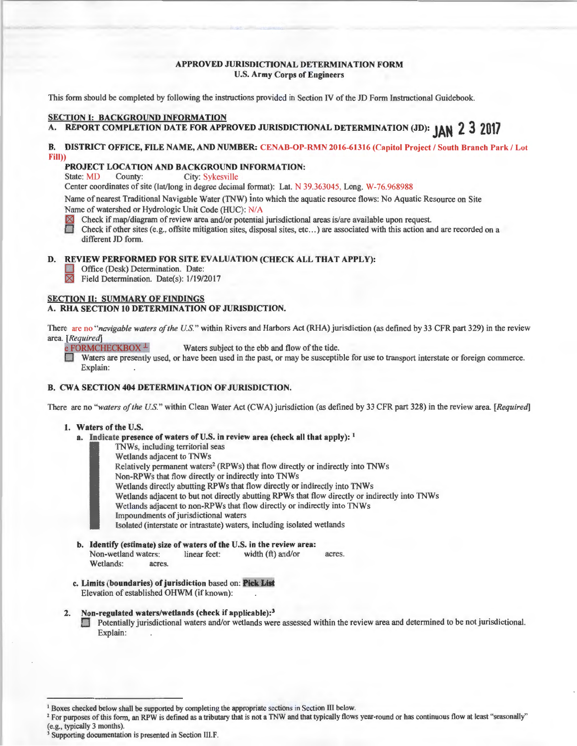### APPROVED JURISDICTIONAL DETERMINATION FORM U.S. Army Corps of Engineers

This form should be completed by following the instructions provided in Section fV of the JD Form Instructional Guidebook.

#### SECTION I: BACKGROUND INFORMATION

# A. REPORT COMPLETION DATE FOR APPROVED JURISDICTIONAL DETERMINATION (JD): **JAN 2 3 2017**

# B. DISTRICT OFFICE, FILE NAME, AND NUMBER: CENAB-OP-RMN 2016-61316 (Capitol Project / South Branch Park / Lot Fill))

# **PROJECT LOCATION AND BACKGROUND INFORMATION:**<br>State: MD County: City: Sykesville

City: Sykesville

Center coordinates of site (lat/long in degree decimal format): Lat. N 39.363045, Long. W-76.968988

Name of nearest Traditional Navigable Water (TNW) into which the aquatic resource flows: No Aquatic Resource on Site Name of watershed or Hydrologic Unit Code (HUC): NIA

Check if map/diagram of review area and/or potential jurisdictional areas is/are available upon request.

0 : Check if other sites (e.g., offsite mitigation sites, disposal sites, etc ... ) are associated with this action and are recorded on a different JD form.

## D. REVIEW PERFORMED FOR SITE EVALUATION (CHECK ALL THAT APPLY):

Office (Desk) Determination. Date:

 $\boxtimes$ Field Determination. Date(s): 1/19/2017

#### SECTION II: SUMMARY OF FINDINGS

# A. RHA SECTION 10 DETERMINATION OF JURISDICTION.

There are no "navigable waters of the U.S." within Rivers and Harbors Act (RHA) jurisdiction (as defined by 33 CFR part 329) in the review area. *[Required]*<br>e FORMCHECKBOX<sup>1</sup>

Waters subject to the ebb and flow of the tide.

Waters are presently used, or have been used in the past, or may be susceptible for use to transport interstate or foreign commerce. Explain:

# B. CWA SECTION 404 DETERMINATION OF JURISDICTION.

There are no "waters of the U.S." within Clean Water Act (CWA) jurisdiction (as defined by 33 CFR part 328) in the review area. [Required]

# 1. Waters of the U.S.

- a. Indicate presence of waters of U.S. in review area (check all that apply):  $<sup>1</sup>$ </sup>
	- TNWs, including territorial seas<br>Wetlands adjacent to TNWs
	- Wetlands adjacent to TNWs<br>
	Relatively permanent waters<br>
	Non-RPWs that flow directly Relatively permanent waters<sup>2</sup> (RPWs) that flow directly or indirectly into TNWs
		- Non-RPWs that flow directly or indirectly into TNWs
		-
		- Wetlands directly abutting RPWs that flow directly or indirectly into TNWs<br>Wetlands adjacent to but not directly abutting RPWs that flow directly or indirectly into TNWs
		- Wetlands adjacent to non-RPWs that flow directly or indirectly into TNWs
		- Impoundments of jurisdictional waters

Isolated (interstate or intrastate) waters, including isolated wetlands

- b. Identify (estimate) size of waters of the U.S. in the review area:<br>Non-wetland waters: linear feet: width  $(ft)$  and/or Non-wetland waters: linear feet: width (ft) and/or acres. Wetlands: acres.
- c. Limits (boundaries) of jurisdiction based on: Pick List Elevation of established OHWM (if known):

# 2. Non-regulated waters/wetlands (check if applicable):<sup>3</sup>

**D** Potentially jurisdictional waters and/or wetlands were assessed within the review area and determined to be not jurisdictional. Explain:

<sup>&</sup>lt;sup>1</sup> Boxes checked below shall be supported by completng the appropriate sections in Section III below.<br><sup>2</sup> For purposes of this form, an RPW is defined as a tributary that is not a TNW and that typically flows year-round (e.g., typically 3 months). 3 Supporting documentation is presented in Section III.F.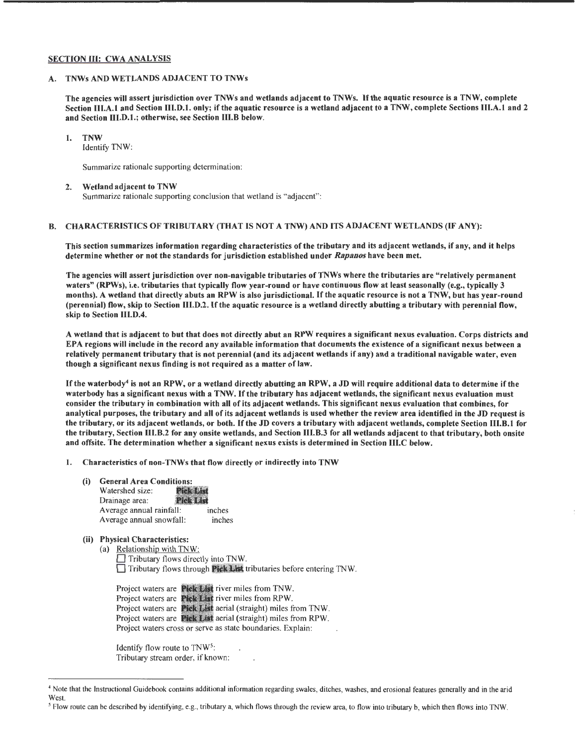#### SECTION III: CWA ANALYSIS

## A. TNWs AND WETLANDS ADJACENT TO TNWs

The agencies will assert jurisdiction over TNWs and wetlands adjacent to TNWs. If the aquatic resource is a TNW, complete Section III.A.1 and Section III.D.1. only; if the aquatic resource is a wetland adjacent to a TNW, complete Sections III.A.1 and 2 and Section 111.D.1.; otherwise, see Section 111.B below.

# 1. TNW

Identify TNW:

Summarize rationale supporting determination:

#### 2. Wetland adjacent to TNW

Summarize rationale supporting conclusion that wetland is "adjacent" :

### B. CHARACTERISTICS OF TRIBUTARY (THAT IS NOT A TNW) AND ITS ADJACENT WETLANDS (IF ANY):

This section summarizes information regarding characteristics of the tributary and its adjacent wetlands, if any, and it helps determine whether or not the standards for jurisdiction established under *Rapanos* have been met.

The agencies will assert jurisdiction over non-navigable tributaries of TNWs where the tributaries are "relatively permanent waters" (RPWs), i.e. tributaries that typically flow year-round or have continuous flow at least seasonally (e.g., typically 3 months). A wetland that directly abuts an RPW is also jurisdictional. If the aquatic resource is not a TNW, but has year-round (perennial) flow, skip to Section 111.D.2. If the aquatic resource is a wetland directly abutting a tributary with perennial flow, skip to Section 111.D.4.

A wetland that is adjacent to but that does not directly abut an RPW requires a significant nexus evaluation. Corps districts and EPA regions will include in the record any available information that documents the existence of a significant nexus between a relatively permanent tributary that is not perennial (and its adjacent wetlands if any) and a traditional navigable water, even though a significant nexus finding is not required as a matter of law.

If the waterbody<sup>4</sup> is not an RPW, or a wetland directly abutting an RPW, a JD will require additional data to determine if the waterbody has a significant nexus with a TNW. If the tributary has adjacent wetlands, the significant nexus evaluation must consider the tributary in combination with all of its adjacent wetlands. This significant nexus evaluation that combines, for analytical purposes, the tributary and all of its adjacent wetlands is used whether the review area identified in the JD request is the tributary, or its adjacent wetlands, or both. If the JD covers a tributary with adjacent wetlands, complete Section 111.B.1 for the tributary, Section llI.B.2 for any onsite wetlands, and Section III.B.3 for all wetlands adjacent to that tributary, both onsite and offsite. The determination whether a significant nexus exists is determined in Section III.C below.

#### 1. Characteristics of non-TNWs that flow directly or indirectly into TNW

(i) General Area Conditions:<br>Watershed size: **Pick List** Watershed size: **Fick List**<br>Drainage area: **ick List** Drainage area: Average annual rainfall: inches Average annual snowfall: inches

#### (ii) Physical Characteristics:

(a) Relationship with TNW:  $\Box$  Tributary flows directly into TNW.  $\Box$  Tributary flows through **Pick List** tributaries before entering TNW.

Project waters are **Pick List** river miles from TNW. Project waters are **Pick List** river miles from RPW. Project waters are **Pick List** aerial (straight) miles from TNW. Project waters are **Pick List** aerial (straight) miles from RPW. Project waters cross or serve as state boundaries. Explain:

Identify flow route to TNW5: Tributary stream order, if known:

<sup>4</sup> Note that the Instructional Guidebook contains additional information regarding swales, ditches, washes, and erosional features generally and in the arid **West** 

*<sup>5</sup>*Flow route can be described by identifying, e.g., tributary a, which flows through the review area, to flow into tributary b, which then flows into TNW.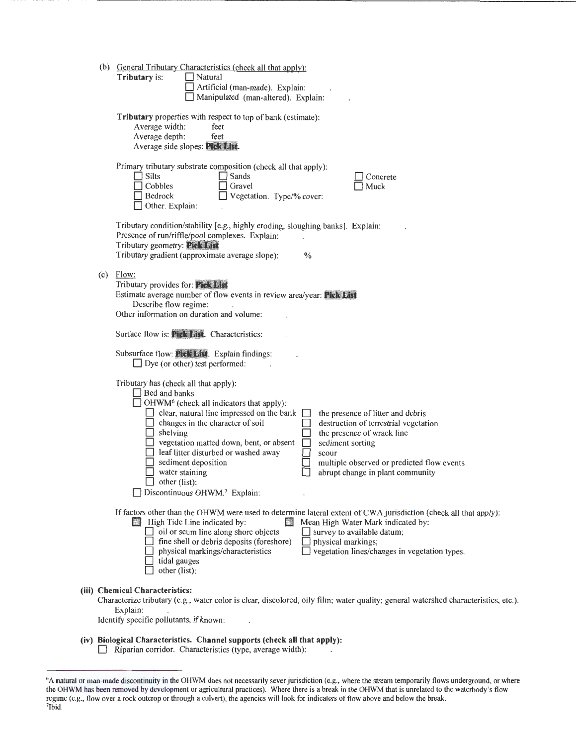| (b) | General Tributary Characteristics (check all that apply):<br>Tributary is:<br>$\Box$ Natural<br>Artificial (man-made). Explain:<br>Manipulated (man-altered). Explain:                                                                                                                                                                                                                                                                                                                                                                                                                                                                                |
|-----|-------------------------------------------------------------------------------------------------------------------------------------------------------------------------------------------------------------------------------------------------------------------------------------------------------------------------------------------------------------------------------------------------------------------------------------------------------------------------------------------------------------------------------------------------------------------------------------------------------------------------------------------------------|
|     | Tributary properties with respect to top of bank (estimate):<br>Average width:<br>feet<br>Average depth:<br>feet<br>Average side slopes: Pick List.                                                                                                                                                                                                                                                                                                                                                                                                                                                                                                   |
|     | Primary tributary substrate composition (check all that apply):<br>Silts<br>Sands<br>Concrete<br>Cobbles<br>Gravel<br>Muck<br>Bedrock<br>Vegetation. Type/% cover:<br>Other. Explain:                                                                                                                                                                                                                                                                                                                                                                                                                                                                 |
|     | Tributary condition/stability [e.g., highly eroding, sloughing banks]. Explain:<br>Presence of run/riffle/pool complexes. Explain:<br>Tributary geometry: Pick List<br>Tributary gradient (approximate average slope):<br>$\%$                                                                                                                                                                                                                                                                                                                                                                                                                        |
|     | $(c)$ Flow:<br>Tributary provides for: Pick List<br>Estimate average number of flow events in review area/year: Pick List<br>Describe flow regime:<br>Other information on duration and volume:                                                                                                                                                                                                                                                                                                                                                                                                                                                       |
|     | Surface flow is: Pick List. Characteristics:                                                                                                                                                                                                                                                                                                                                                                                                                                                                                                                                                                                                          |
|     | Subsurface flow: Pick List. Explain findings:<br>$\Box$ Dye (or other) test performed:                                                                                                                                                                                                                                                                                                                                                                                                                                                                                                                                                                |
|     | Tributary has (check all that apply):<br>$\Box$ Bed and banks<br>OHWM <sup>6</sup> (check all indicators that apply):<br>$\Box$ clear, natural line impressed on the bank<br>the presence of litter and debris<br>changes in the character of soil<br>destruction of terrestrial vegetation<br>shelving<br>the presence of wrack line<br>vegetation matted down, bent, or absent<br>sediment sorting<br>leaf litter disturbed or washed away<br>scour<br>sediment deposition<br>multiple observed or predicted flow events<br>water staining<br>abrupt change in plant community<br>other (list):<br>$\Box$ Discontinuous OHWM. <sup>7</sup> Explain: |
|     | If factors other than the OHWM were used to determine lateral extent of CWA jurisdiction (check all that apply):<br>High Tide Line indicated by:<br>Mean High Water Mark indicated by:<br>$\Box$ oil or scum line along shore objects<br>survey to available datum;<br>$\Box$ fine shell or debris deposits (foreshore)<br>physical markings;<br>vegetation lines/changes in vegetation types.<br>physical markings/characteristics<br>tidal gauges<br>other (list):                                                                                                                                                                                  |
|     | (iii) Chemical Characteristics:<br>Characterize tributary (e.g., water color is clear, discolored, oily film; water quality; general watershed characteristics, etc.).<br>Explain:<br>Identify specific pollutants, if known:                                                                                                                                                                                                                                                                                                                                                                                                                         |
|     |                                                                                                                                                                                                                                                                                                                                                                                                                                                                                                                                                                                                                                                       |

(iv) Biological Characteristics. Channel supports (check all that apply): D Riparian corridor. Characteristics (type, average width):

<sup>6</sup> A natural or man-made discontinuity in the OHWM does not necessarily sever jurisdiction (e.g., where the stream temporarily flows underground, or where the OHWM has been removed by development or agricultural practices). Where there is a break in the OHWM that is unrelated to the waterbody's flow regime (e.g., flow over a rock outcrop or through a culvert), the agencies will look for indicators of flow above and below the break. 7Ibid.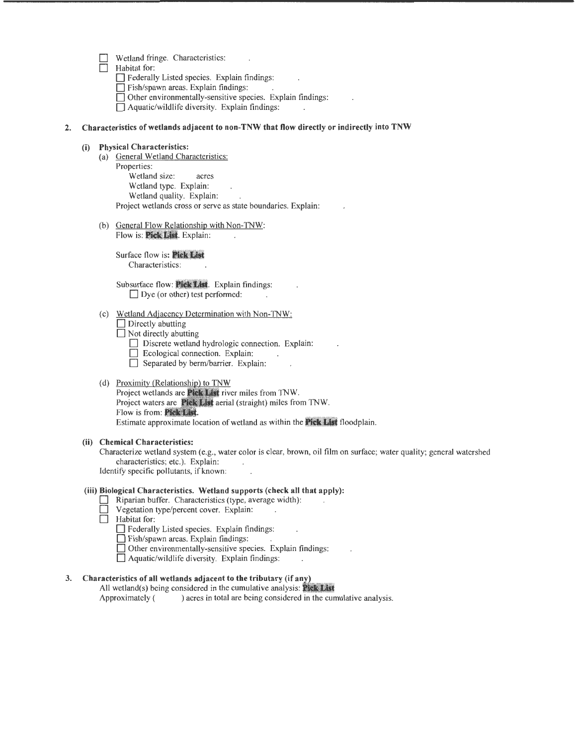- Wetland fringe. Characteristics:
- Habitat for:

0 Federally Listed species. Explain findings:

 $\Box$  Fish/spawn areas. Explain findings:

 $\Box$  Other environmentally-sensitive species. Explain findings:

 $\Box$  Aquatic/wildlife diversity. Explain findings:

#### 2. Characteristics of wetlands adjacent to non-TNW that flow directly or indirectly into TNW

#### (i) Physical Characteristics:

- (a) General Wetland Characteristics: Properties: Wetland size: acres Wetland type. Explain: Wetland quality. Explain: Project wetlands cross or serve as state boundaries. Explain:
- (b) General Flow Relationship with Non-TNW: Flow is: Pick List. Explain:

Surface flow is: Pick List Characteristics:

Subsurface flow: Pick List. Explain findings:  $\Box$  Dye (or other) test performed:

- (c) Wetland Adjacency Determination with Non-TNW:
	- $\Box$  Directly abutting

 $\overline{\Box}$  Not directly abutting

0 Discrete wetland hydrologic connection. Explain:

- $\Box$  Ecological connection. Explain:
- $\Box$  Ecological connection. Explain:<br> $\Box$  Separated by berm/barrier. Explain:

#### (d) Proximity (Relationship) to TNW

Project wetlands are Pick List river miles from TNW. Project waters are **Pick List** aerial (straight) miles from TNW. Flow is from: Pick List. Estimate approximate location of wetland as within the **Pick List** floodplain.

#### (ii) Chemical Characteristics:

Characterize wetland system (e.g., water color is clear, brown, oil film on surface; water quality; general watershed characteristics; etc.). Explain: Identify specific pollutants, if known:

#### (iii) Biological Characteristics. Wetland supports (check all that apply):

- $\Box$  Riparian buffer. Characteristics (type, average width):
- $\Box$  Vegetation type/percent cover. Explain:
- $\Box$  Habitat for:

0 Federally Listed species. Explain findings:

0 Fish/spawn areas. Explain findings:

 $\Box$  Other environmentally-sensitive species. Explain findings:

 $\Box$  Aquatic/wildlife diversity. Explain findings:

# 3. Characteristics of all wetlands adjacent to the tributary (if any)

All wetland(s) being considered in the cumulative analysis: **Pick List** 

Approximately ( ) acres in total are being considered in the cumulative analysis.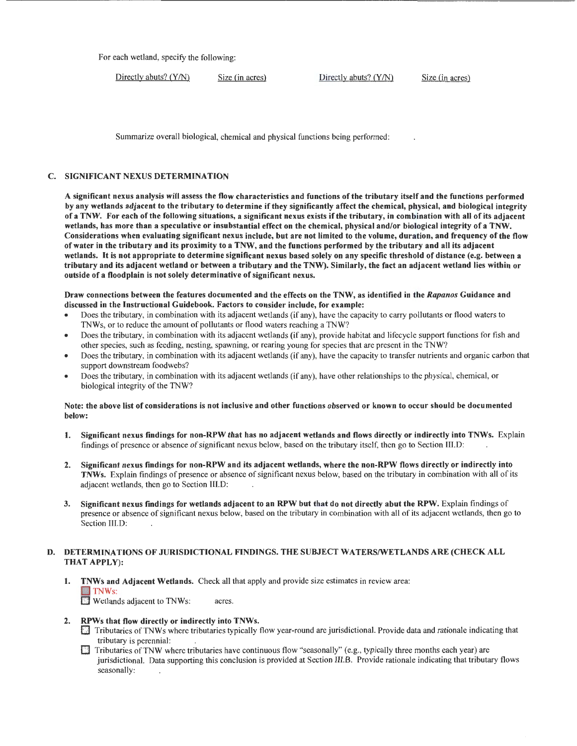For each wetland, specify the following:

Directly abuts? (Y/N) Size (in acres) Directly abuts? (Y/N) Size (in acres)

Summarize overall biological, chemical and physical functions being performed:

# C. SIGNIFICANT NEXUS DETERMINATION

A significant nexus analysis will assess the flow characteristics and functions of the tributary itself and the functions performed by any wetlands adjacent to the tributary to determine if they significantly affect the chemical, physical, and biological integrity ofa TNW. For each of the following situations, a significant nexus exists if the tributary, in combination with all of its adjacent wetlands, has more than a speculative or insubstantial effect on the chemical, physical and/or biological integrity of a TNW. Considerations when evaluating significant nexus include, but are not limited to the volume, duration, and frequency of the flow of water in the tributary and its proximity to a TNW, and the functions performed by the tributary and all its adjacent wetlands. It is not appropriate to determine significant nexus based solely on any specific threshold of distance (e.g. between a tributary and its adjacent wetland or between a tributary and the TNW). Similarly, the fact an adjacent wetland lies within or outside of a floodplain is not solely determinative of significant nexus.

Draw connections between the features documented and the effects on the TNW, as identified in the *Rapanos* Guidance and discussed in the Instructional Guidebook. Factors to consider include, for example:

- Does the tributary, in combination with its adjacent wetlands (if any), have the capacity to carry pollutants or flood waters to TNWs, or to reduce the amount of pollutants or flood waters reaching a TNW?
- Does the tributary, in combination with its adjacent wetlands (if any), provide habitat and lifecycle support functions for fish and other species, such as feeding, nesting, spawning, or rearing young for species that are present in the TNW?
- Does the tributary, in combination with its adjacent wetlands (if any), have the capacity to transfer nutrients and organic carbon that support downstream foodwebs?
- Does the tributary, in combination with its adjacent wetlands (if any), have other relationships to the physical, chemical, or biological integrity of the TNW?

#### Note: the above list of considerations is not inclusive and other functions observed or known to occur should be documented below:

- 1. Significant nexus findings for non-RPW that has no adjacent wetlands and flows directly or indirectly into TNWs. Explain findings of presence or absence of significant nexus below, based on the tributary itself, then go to Section III.D:
- 2. Significant nexus findings for non-RPW and its adjacent wetlands, where the non-RPW flows directly or indirectly into TNWs. Explain findings of presence or absence of significant nexus below, based on the tributary in combination with all of its adjacent wetlands, then go to Section III.D:
- 3. Significant nexus findings for wetlands adjacent to an RPW but that do not directly abut the RPW. Explain findings of presence or absence of significant nexus below, based on the tributary in combination with all of its adjacent wetlands, then go to Section III.D:

# D. DETERMINATIONS OF JURISDICTIONAL FINDINGS. THE SUBJECT WATERS/WETLANDS ARE (CHECK ALL THAT APPLY):

- 1. TNWs and Adjacent Wetlands. Check all that apply and provide size estimates in review area: TNW<sub>s:</sub> **D** Wetlands adjacent to TNWs: acres.
- 2. RPWs that flow directly or indirectly into TNWs.
	- Tributaries of TNWs where tributaries typically flow year-round are jurisdictional. Provide data and rationale indicating that tributary is perennial:
	- **Tributaries of TNW where tributaries have continuous flow "seasonally" (e.g., typically three months each year) are** jurisdictional. Data supporting this conclusion is provided at Section III.B. Provide rationale indicating that tributary flows seasonally: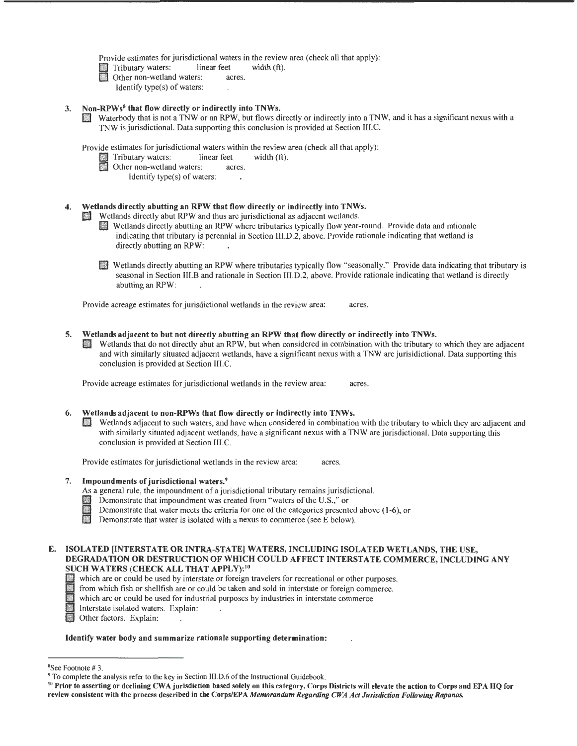Provide estimates for jurisdictional waters in the review area (check all that apply):

Tributary waters: linear feet width (ft).

Identify type(s) of waters:

3. Non-RPWs<sup>8</sup> that flow directly or indirectly into TNWs.<br>Waterbody that is not a TNW or an RPW, but flows directly or indirectly into a TNW, and it has a significant nexus with a TNW is jurisdictional. Data supporting this conclusion is provided at Section III.C.

Provide estimates for jurisdictional waters within the review area (check all that apply):<br>IT Tributary waters: linear feet width (ft).<br>Differences within the review acres.

- - - Identify type(s) of waters:

# Wetlands directly abutting an RPW that flow directly or indirectly into TNWs.<br>Wetlands directly abut RPW and thus are jurisdictional as adjacent wetlands.

- Wetlands directly abutting an RPW where tributaries typically flow year-round. Provide data and rationale indicating that tributary is perennial in Section 111.D.2, above. Provide rationale indicating that wetland is directly abutting an RPW:
- D Wetlands directly abutting an RPW where tributaries typically flow "seasonally." Provide data indicating that tributary is seasonal in Section III.B and rationale in Section Ill.D.2, above. Provide rationale indicating that wetland is directly abutting an RPW:

Provide acreage estimates for jurisdictional wetlands in the review area: acres.

- 5. Wetlands adjacent to but not directly abutting an RPW that flow directly or indirectly into TNWs.
	- 0 Wetlands that do not directly abut an RPW, but when considered in combination with the tributary to which they are adjacent and with similarly situated adjacent wetlands, have a significant nexus with a TNW are jurisidictional. Data supporting this conclusion is provided at Section Ill.C.

Provide acreage estimates for jurisdictional wetlands in the review area: acres.

# 6. Wetlands adjacent to non-RPWs that flow directly or indirectly into TNWs.

D Wetlands adjacent to such waters, and have when considered in combination with the tributary to which they are adjacent and with similarly situated adjacent wetlands, have a significant nexus with a TNW are jurisdictional. Data supporting this conclusion is provided at Section III.C.

Provide estimates for jurisdictional wetlands in the review area: acres

# 7. Impoundments of jurisdictional waters.9

- As a general rule, the impoundment of a jurisdictional tributary remains jurisdictional.
- 
- 8 Demonstrate that impoundment was created from "waters of the U.S.," or<br>Demonstrate that water meets the criteria for one of the categories presented<br>Demonstrate that water is isolated with a nexus to commerce (see E belo Demonstrate that water meets the criteria for one of the categories presented above (1-6), or
	-

# E. ISOLATED [INTERSTATE OR INTRA-STATE] WATERS, INCLUDING ISOLATED WETLANDS, THE USE, DEGRADATION OR DESTRUCTION OF WHICH COULD AFFECT INTERSTATE COMMERCE, INCLUDING ANY SUCH WATERS (CHECK ALL THAT APPLY): 10

- 
- ID which are or could be used by interstate or foreign travelers for recreational or other purposes.<br>
If from which fish or shellfish are or could be taken and sold in interstate or foreign commerce.<br>
Which are or could be from which fish or shellfish are or could be taken and sold in interstate or foreign commerce.
	- which are or could be used for industrial purposes by industries in interstate commerce.
- Interstate isolated waters. Explain:<br> **Discrete Strategies** Other factors. Explain:
- 

# Identify water body and summarize rationale supporting determination:

 $8$ See Footnote #3.

<sup>&</sup>lt;sup>9</sup> To complete the analysis refer to the key in Section III.D.6 of the Instructional Guidebook.<br><sup>10</sup> Prior to asserting or declining CWA jurisdiction based solely on this category, Corps Districts will elevate the action review consistent with the process described in the Corps/EPA *Memorandum Regarding CWA Act Jurisdiction Following Rapanos.*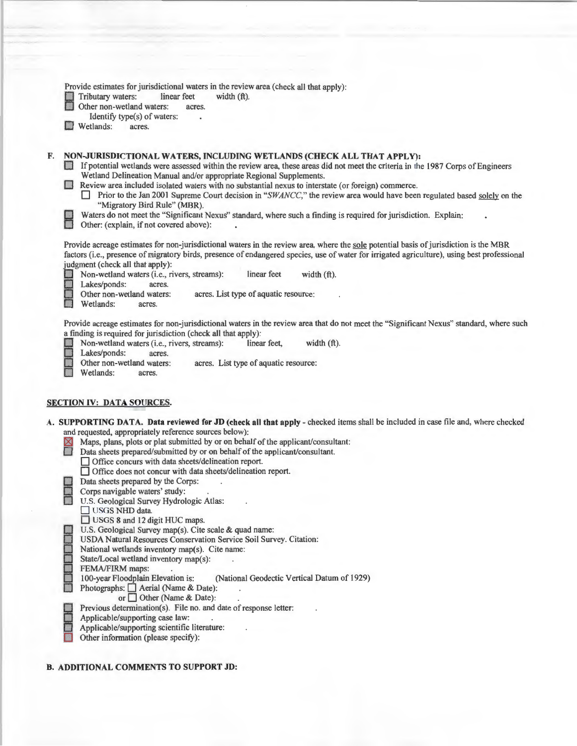|             | Provide estimates for jurisdictional waters in the review area (check all that apply):<br>Tributary waters:<br>linear feet<br>width $(ft)$ .<br>Other non-wetland waters:<br>acres.<br>Identify type(s) of waters:<br>Wetlands:<br>acres.                                                                                                                                                                                                                                                                                                                                                                                                                                                                                                                                                                                                                                                                                                                                                                                                                                                                                                                                                                                                                                                                     |
|-------------|---------------------------------------------------------------------------------------------------------------------------------------------------------------------------------------------------------------------------------------------------------------------------------------------------------------------------------------------------------------------------------------------------------------------------------------------------------------------------------------------------------------------------------------------------------------------------------------------------------------------------------------------------------------------------------------------------------------------------------------------------------------------------------------------------------------------------------------------------------------------------------------------------------------------------------------------------------------------------------------------------------------------------------------------------------------------------------------------------------------------------------------------------------------------------------------------------------------------------------------------------------------------------------------------------------------|
| F.          | NON-JURISDICTIONAL WATERS, INCLUDING WETLANDS (CHECK ALL THAT APPLY):<br>If potential wetlands were assessed within the review area, these areas did not meet the criteria in the 1987 Corps of Engineers<br>Wetland Delineation Manual and/or appropriate Regional Supplements.<br>Review area included isolated waters with no substantial nexus to interstate (or foreign) commerce.<br>$\Box$ Prior to the Jan 2001 Supreme Court decision in "SWANCC," the review area would have been regulated based solely on the<br>"Migratory Bird Rule" (MBR).<br>Waters do not meet the "Significant Nexus" standard, where such a finding is required for jurisdiction. Explain:<br>Other: (explain, if not covered above):                                                                                                                                                                                                                                                                                                                                                                                                                                                                                                                                                                                      |
|             | Provide acreage estimates for non-jurisdictional waters in the review area, where the sole potential basis of jurisdiction is the MBR<br>factors (i.e., presence of migratory birds, presence of endangered species, use of water for irrigated agriculture), using best professional<br>judgment (check all that apply):<br>linear feet<br>width (ft).<br>Non-wetland waters (i.e., rivers, streams):<br>Lakes/ponds:<br>acres.<br>Other non-wetland waters:<br>acres. List type of aquatic resource:<br>Wetlands:<br>acres.                                                                                                                                                                                                                                                                                                                                                                                                                                                                                                                                                                                                                                                                                                                                                                                 |
|             | Provide acreage estimates for non-jurisdictional waters in the review area that do not meet the "Significant Nexus" standard, where such<br>a finding is required for jurisdiction (check all that apply):<br>Non-wetland waters (i.e., rivers, streams):<br>linear feet,<br>width $(ft)$ .<br>Lakes/ponds:<br>acres.<br>Other non-wetland waters:<br>acres. List type of aquatic resource:<br>Wetlands:<br>acres.                                                                                                                                                                                                                                                                                                                                                                                                                                                                                                                                                                                                                                                                                                                                                                                                                                                                                            |
| ⊠<br>$\Box$ | <b>SECTION IV: DATA SOURCES.</b><br>A. SUPPORTING DATA. Data reviewed for JD (check all that apply - checked items shall be included in case file and, where checked<br>and requested, appropriately reference sources below):<br>Maps, plans, plots or plat submitted by or on behalf of the applicant/consultant:<br>Data sheets prepared/submitted by or on behalf of the applicant/consultant.<br>□ Office concurs with data sheets/delineation report.<br>□ Office does not concur with data sheets/delineation report.<br>Data sheets prepared by the Corps:<br>Corps navigable waters' study:<br>U.S. Geological Survey Hydrologic Atlas:<br>USGS NHD data.<br>USGS 8 and 12 digit HUC maps.<br>U.S. Geological Survey map(s). Cite scale & quad name:<br>USDA Natural Resources Conservation Service Soil Survey. Citation:<br>National wetlands inventory map(s). Cite name:<br>State/Local wetland inventory map(s):<br>FEMA/FIRM maps:<br>100-year Floodplain Elevation is:<br>(National Geodectic Vertical Datum of 1929)<br>Photographs: △ Aerial (Name & Date):<br>or $\Box$ Other (Name & Date):<br>Previous determination(s). File no. and date of response letter:<br>Applicable/supporting case law:<br>Applicable/supporting scientific literature:<br>Other information (please specify): |

# **B. ADDITIONAL COMMENTS TO SUPPORT JD:**